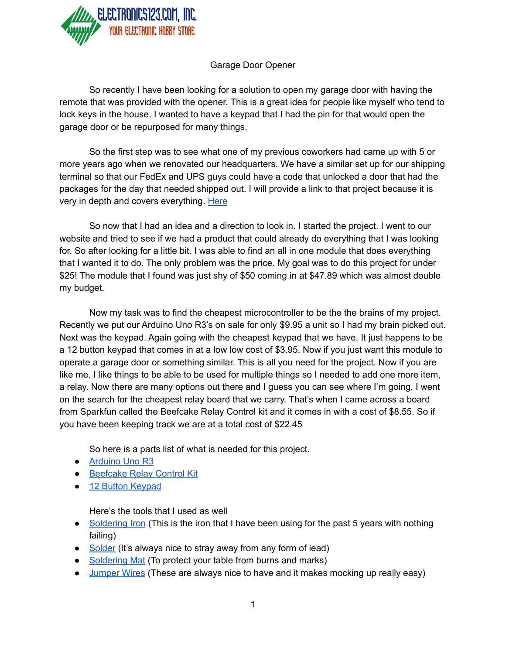

## Garage Door Opener

So recently I have been looking for a solution to open my garage door with having the remote that was provided with the opener. This is a great idea for people like myself who tend to lock keys in the house. I wanted to have a keypad that I had the pin for that would open the garage door or be repurposed for many things.

So the first step was to see what one of my previous coworkers had came up with 5 or more years ago when we renovated our headquarters. We have a similar set up for our shipping terminal so that our FedEx and UPS guys could have a code that unlocked a door that had the packages for the day that needed shipped out. I will provide a link to that project because it is very in depth and covers everything. [Here](http://www.electronics123.net/amazon/projects/ArduinoCombinationDoorLock.pdf)

So now that I had an idea and a direction to look in. I started the project. I went to our website and tried to see if we had a product that could already do everything that I was looking for. So after looking for a little bit. I was able to find an all in one module that does everything that I wanted it to do. The only problem was the price. My goal was to do this project for under \$25! The module that I found was just shy of \$50 coming in at \$47.89 which was almost double my budget.

Now my task was to find the cheapest microcontroller to be the the brains of my project. Recently we put our Arduino Uno R3's on sale for only \$9.95 a unit so I had my brain picked out. Next was the keypad. Again going with the cheapest keypad that we have. It just happens to be a 12 button keypad that comes in at a low low cost of \$3.95. Now if you just want this module to operate a garage door or something similar. This is all you need for the project. Now if you are like me. I like things to be able to be used for multiple things so I needed to add one more item, a relay. Now there are many options out there and I guess you can see where I'm going, I went on the search for the cheapest relay board that we carry. That's when I came across a board from Sparkfun called the Beefcake Relay Control kit and it comes in with a cost of \$8.55. So if you have been keeping track we are at a total cost of \$22.45

So here is a parts list of what is needed for this project.

- **[Arduino](http://www.electronics123.com/shop/product/dev11021-arduino-uno-r3-3932) Uno R3**
- [Beefcake](http://www.electronics123.com/shop/product/kit-13815-sparkfun-beefcake-relay-control-kit-8323) Relay Control Kit
- 12 Button [Keypad](http://www.electronics123.com/shop/product/com-14662-keypad-12-button-9852)

Here's the tools that I used as well

- [Soldering](http://www.electronics123.com/shop/product/vtss5u-low-cost-soldering-station-50w-374-896degf-5427) Iron (This is the iron that I have been using for the past 5 years with nothing failing)
- [Solder](http://www.electronics123.com/shop/product/sold100glf-lead-free-rosin-core-solder-coil-0-22-lbs-5260) (It's always nice to stray away from any form of lead)
- [Soldering](http://www.electronics123.com/shop/product/tol-14672-insulated-silicone-soldering-mat-9863) Mat (To protect your table from burns and marks)
- [Jumper](http://www.electronics123.com/shop/product/wjw009n-awg-jumper-wire-65-piece-set-one-pin-male-to-male-8790) Wires (These are always nice to have and it makes mocking up really easy)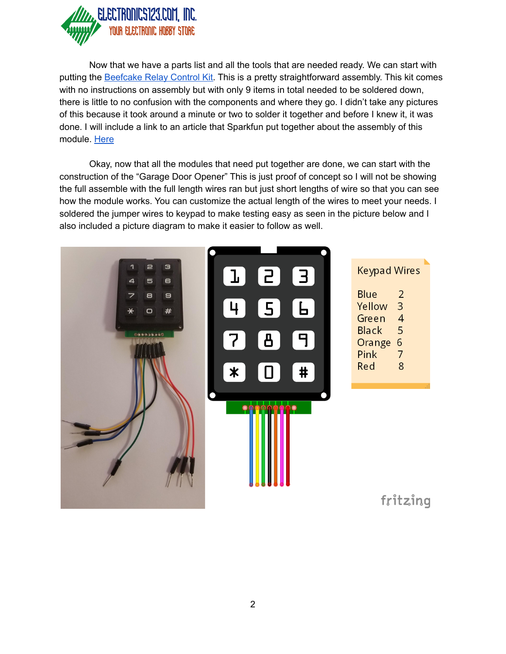

Now that we have a parts list and all the tools that are needed ready. We can start with putting the [Beefcake](http://www.electronics123.com/shop/product/kit-13815-sparkfun-beefcake-relay-control-kit-8323) Relay Control Kit. This is a pretty straightforward assembly. This kit comes with no instructions on assembly but with only 9 items in total needed to be soldered down, there is little to no confusion with the components and where they go. I didn't take any pictures of this because it took around a minute or two to solder it together and before I knew it, it was done. I will include a link to an article that Sparkfun put together about the assembly of this module. [Here](http://www.electronics123.net/amazon/datasheet/Building%20The%20Beefcake%20Relay%20Control.pdf)

Okay, now that all the modules that need put together are done, we can start with the construction of the "Garage Door Opener" This is just proof of concept so I will not be showing the full assemble with the full length wires ran but just short lengths of wire so that you can see how the module works. You can customize the actual length of the wires to meet your needs. I soldered the jumper wires to keypad to make testing easy as seen in the picture below and I also included a picture diagram to make it easier to follow as well.

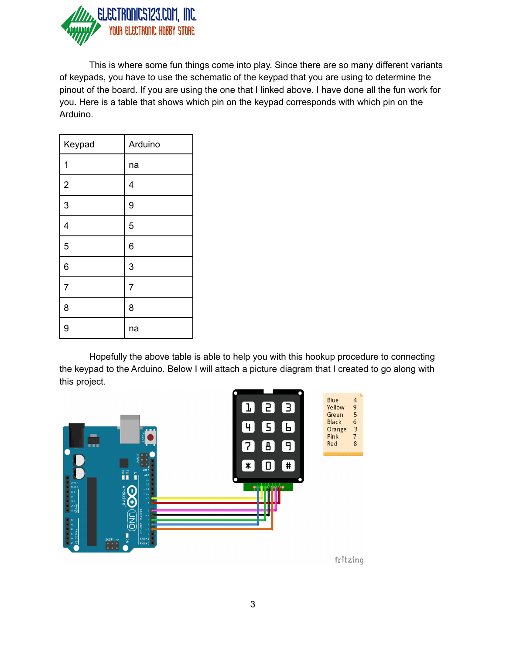

This is where some fun things come into play. Since there are so many different variants of keypads, you have to use the schematic of the keypad that you are using to determine the pinout of the board. If you are using the one that I linked above. I have done all the fun work for you. Here is a table that shows which pin on the keypad corresponds with which pin on the Arduino.

| Keypad         | Arduino        |
|----------------|----------------|
| 1              | na             |
| $\overline{2}$ | 4              |
| 3              | 9              |
| 4              | 5              |
| 5              | 6              |
| 6              | 3              |
| $\overline{7}$ | $\overline{7}$ |
| 8              | 8              |
| 9              | na             |

Hopefully the above table is able to help you with this hookup procedure to connecting the keypad to the Arduino. Below I will attach a picture diagram that I created to go along with this project.

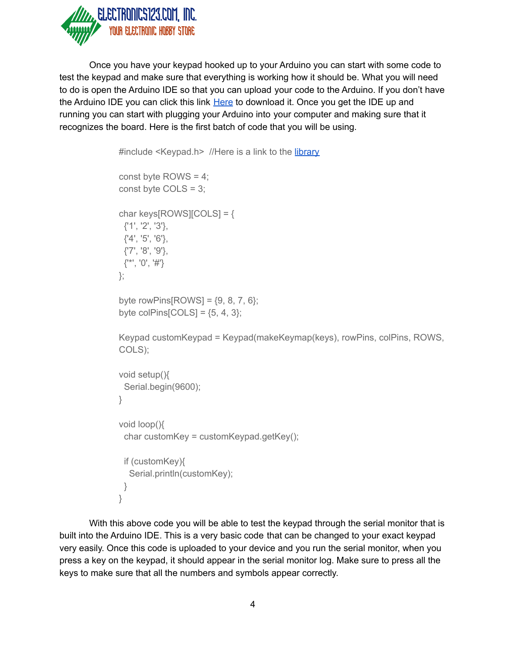

Once you have your keypad hooked up to your Arduino you can start with some code to test the keypad and make sure that everything is working how it should be. What you will need to do is open the Arduino IDE so that you can upload your code to the Arduino. If you don't have the Arduino IDE you can click this link [Here](https://www.arduino.cc/download_handler.php?f=/arduino-1.8.5-windows.exe) to download it. Once you get the IDE up and running you can start with plugging your Arduino into your computer and making sure that it recognizes the board. Here is the first batch of code that you will be using.

```
#include <Keypad.h> //Here is a link to the library
const byte ROWS = 4;
const byte COLS = 3;
char keys[ROWS][COLS] = {
 {'1', '2', '3'},
 {'4', '5', '6'},
 {'7', '8', '9'},
 \{{**}, '0', '#'\}
};
byte rowPins[ROWS] = \{9, 8, 7, 6\};
byte colPins[COLS] = \{5, 4, 3\};Keypad customKeypad = Keypad(makeKeymap(keys), rowPins, colPins, ROWS,
COLS);
void setup(){
 Serial.begin(9600);
}
void loop(){
 char customKey = customKeypad.getKey();
 if (customKey){
  Serial.println(customKey);
 }
}
```
With this above code you will be able to test the keypad through the serial monitor that is built into the Arduino IDE. This is a very basic code that can be changed to your exact keypad very easily. Once this code is uploaded to your device and you run the serial monitor, when you press a key on the keypad, it should appear in the serial monitor log. Make sure to press all the keys to make sure that all the numbers and symbols appear correctly.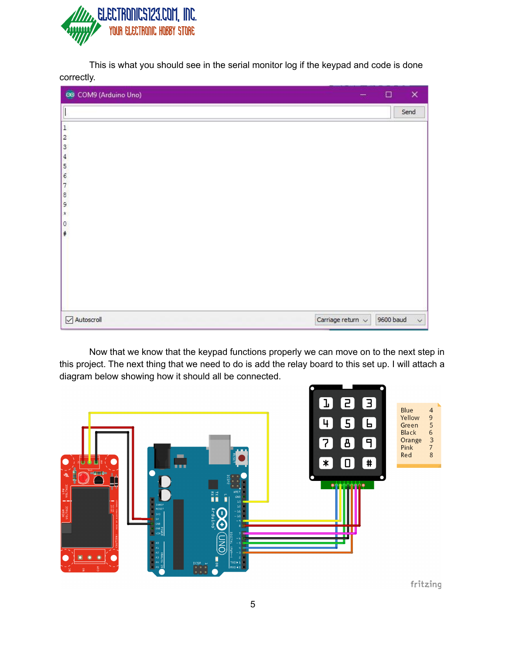

This is what you should see in the serial monitor log if the keypad and code is done correctly.

| 00 COM9 (Arduino Uno)                       | $\Box$                                 | $\times$    |
|---------------------------------------------|----------------------------------------|-------------|
|                                             |                                        | Send        |
| $\vert$ 1                                   |                                        |             |
|                                             |                                        |             |
| 2<br>3<br>4<br>5<br>6<br>7<br>8<br>9        |                                        |             |
|                                             |                                        |             |
|                                             |                                        |             |
|                                             |                                        |             |
|                                             |                                        |             |
|                                             |                                        |             |
| $\vert x \vert$                             |                                        |             |
|                                             |                                        |             |
| $\begin{bmatrix} 0 \\ 0 \\ 0 \end{bmatrix}$ |                                        |             |
|                                             |                                        |             |
|                                             |                                        |             |
|                                             |                                        |             |
|                                             |                                        |             |
|                                             |                                        |             |
|                                             |                                        |             |
|                                             |                                        |             |
| $\sqrt{\phantom{a}}$ Autoscroll             | Carriage return $\sqrt{}$<br>9600 baud | $\check{~}$ |

Now that we know that the keypad functions properly we can move on to the next step in this project. The next thing that we need to do is add the relay board to this set up. I will attach a diagram below showing how it should all be connected.



fritzing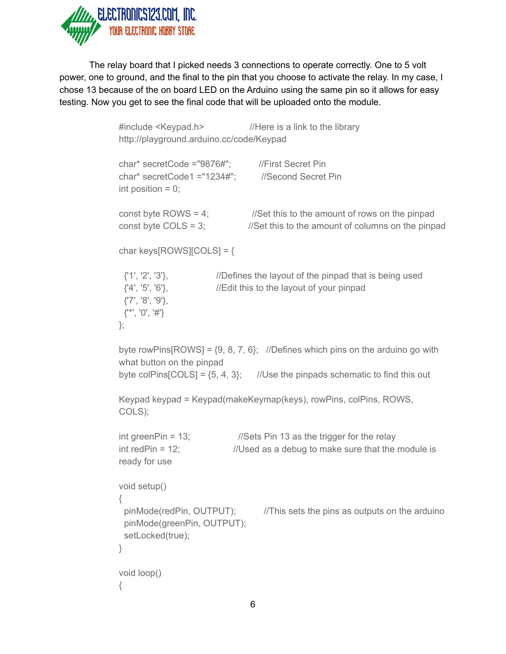

The relay board that I picked needs 3 connections to operate correctly. One to 5 volt power, one to ground, and the final to the pin that you choose to activate the relay. In my case, I chose 13 because of the on board LED on the Arduino using the same pin so it allows for easy testing. Now you get to see the final code that will be uploaded onto the module.

```
#include <Keypad.h> //Here is a link to the library
http://playground.arduino.cc/code/Keypad
char* secretCode ="9876#"; //First Secret Pin
char* secretCode1 ="1234#"; //Second Secret Pin
int position = 0;
const byte ROWS = 4; //Set this to the amount of rows on the pinpad
const byte COLS = 3; //Set this to the amount of columns on the pinpad
char keys[ROWS][COLS] = {
 {'1', '2', '3'}, //Defines the layout of the pinpad that is being used
 {'4', '5', '6'}, //Edit this to the layout of your pinpad
 {'7', '8', '9'},
 \{{**}, '0', '#'\}
};
byte rowPins[ROWS] = \{9, 8, 7, 6\}; //Defines which pins on the arduino go with
what button on the pinpad
byte colPins[COLS] = \{5, 4, 3\}; //Use the pinpads schematic to find this out
Keypad keypad = Keypad(makeKeymap(keys), rowPins, colPins, ROWS,
COLS);
int greenPin = 13; \frac{1}{S} //Sets Pin 13 as the trigger for the relay
int redPin = 12; //Used as a debug to make sure that the module is
ready for use
void setup()
{
 pinMode(redPin, OUTPUT); //This sets the pins as outputs on the arduino
 pinMode(greenPin, OUTPUT);
 setLocked(true);
}
void loop()
{
```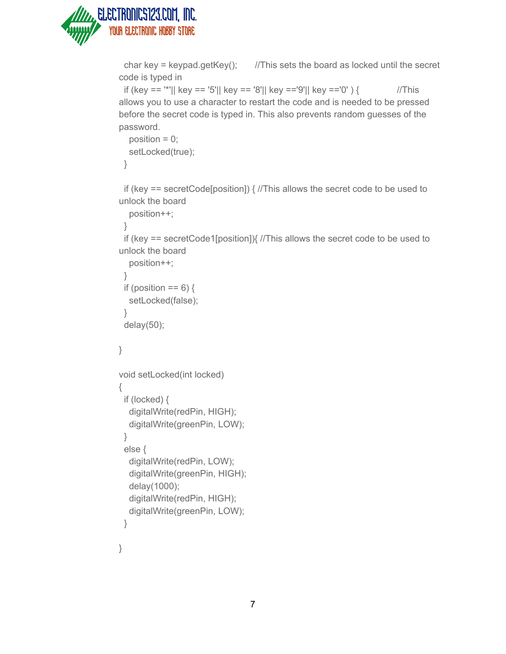

char key = keypad.getKey(); //This sets the board as locked until the secret code is typed in

if (key == '\*'|| key == '5'|| key == '8'|| key =='9'|| key =='0' ) { //This allows you to use a character to restart the code and is needed to be pressed before the secret code is typed in. This also prevents random guesses of the password.

```
position = 0;
setLocked(true);
```

```
}
```
if (key == secretCode[position]) { //This allows the secret code to be used to unlock the board

```
position++;
```

```
}
```
if (key == secretCode1[position]){ //This allows the secret code to be used to unlock the board

```
position++;
}
if (position == 6) {
 setLocked(false);
}
```

```
delay(50);
```

```
}
```

```
void setLocked(int locked)
```

```
{
 if (locked) {
```

```
digitalWrite(redPin, HIGH);
digitalWrite(greenPin, LOW);
```
## } else {

```
digitalWrite(redPin, LOW);
 digitalWrite(greenPin, HIGH);
 delay(1000);
 digitalWrite(redPin, HIGH);
 digitalWrite(greenPin, LOW);
}
```
}